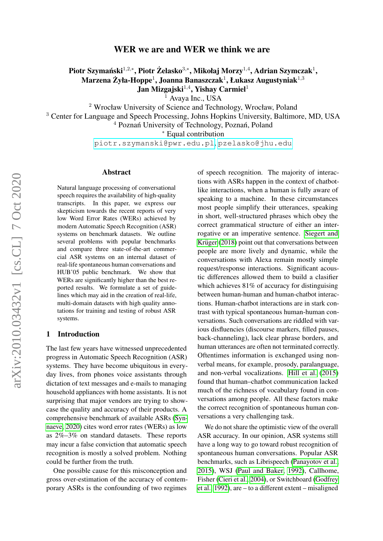# WER we are and WER we think we are

Piotr Szymański $^{1,2,*}$ , Piotr Żelasko $^{3,*}$ , Mikołaj Morzy $^{1,4}$ , Adrian Szymczak $^1,$ Marzena Żyła-Hoppe $^1$ , Joanna Banaszczak $^1$ , Łukasz Augustyniak $^{1,3}$  $J$ an Mizgajski $^{1,4}$ , Yishay Carmiel $^1$ 

 $<sup>1</sup>$  Avaya Inc., USA</sup>

<sup>2</sup> Wrocław University of Science and Technology, Wrocław, Poland

<sup>3</sup> Center for Language and Speech Processing, Johns Hopkins University, Baltimore, MD, USA

 $4$  Poznań University of Technology, Poznań, Poland

<sup>∗</sup> Equal contribution

[piotr.szymanski@pwr.edu.pl](mailto:piotr.szymanski@pwr.edu.pl), [pzelasko@jhu.edu](mailto:pzelasko@jhu.edu)

#### Abstract

Natural language processing of conversational speech requires the availability of high-quality transcripts. In this paper, we express our skepticism towards the recent reports of very low Word Error Rates (WERs) achieved by modern Automatic Speech Recognition (ASR) systems on benchmark datasets. We outline several problems with popular benchmarks and compare three state-of-the-art commercial ASR systems on an internal dataset of real-life spontaneous human conversations and HUB'05 public benchmark. We show that WERs are significantly higher than the best reported results. We formulate a set of guidelines which may aid in the creation of real-life, multi-domain datasets with high quality annotations for training and testing of robust ASR systems.

#### 1 Introduction

The last few years have witnessed unprecedented progress in Automatic Speech Recognition (ASR) systems. They have become ubiquitous in everyday lives, from phones voice assistants through dictation of text messages and e-mails to managing household appliances with home assistants. It is not surprising that major vendors are trying to showcase the quality and accuracy of their products. A comprehensive benchmark of available ASRs [\(Syn](#page-5-0)[naeve, 2020\)](#page-5-0) cites word error rates (WERs) as low as 2%–3% on standard datasets. These reports may incur a false conviction that automatic speech recognition is mostly a solved problem. Nothing could be further from the truth.

One possible cause for this misconception and gross over-estimation of the accuracy of contemporary ASRs is the confounding of two regimes

of speech recognition. The majority of interactions with ASRs happen in the context of chatbotlike interactions, when a human is fully aware of speaking to a machine. In these circumstances most people simplify their utterances, speaking in short, well-structured phrases which obey the correct grammatical structure of either an interrogative or an imperative sentence. [Siegert and](#page-5-1) Krüger [\(2018\)](#page-5-1) point out that conversations between people are more lively and dynamic, while the conversations with Alexa remain mostly simple request/response interactions. Significant acoustic differences allowed them to build a clasifier which achieves 81% of accuracy for distinguising between human-human and human-chatbot interactions. Human-chatbot interactions are in stark contrast with typical spontaneous human-human conversations. Such conversations are riddled with various disfluencies (discourse markers, filled pauses, back-channeling), lack clear phrase borders, and human utterances are often not terminated correctly. Oftentimes information is exchanged using nonverbal means, for example, prosody, paralanguage, and non-verbal vocalizations. [Hill et al.](#page-4-0) [\(2015\)](#page-4-0) found that human–chatbot communication lacked much of the richness of vocabulary found in conversations among people. All these factors make the correct recognition of spontaneous human conversations a very challenging task.

We do not share the optimistic view of the overall ASR accuracy. In our opinion, ASR systems still have a long way to go toward robust recognition of spontaneous human conversations. Popular ASR benchmarks, such as Librispeech [\(Panayotov et al.,](#page-4-1) [2015\)](#page-4-1), WSJ [\(Paul and Baker, 1992\)](#page-5-2), Callhome, Fisher [\(Cieri et al., 2004\)](#page-4-2), or Switchboard [\(Godfrey](#page-4-3) [et al., 1992\)](#page-4-3), are – to a different extent – misaligned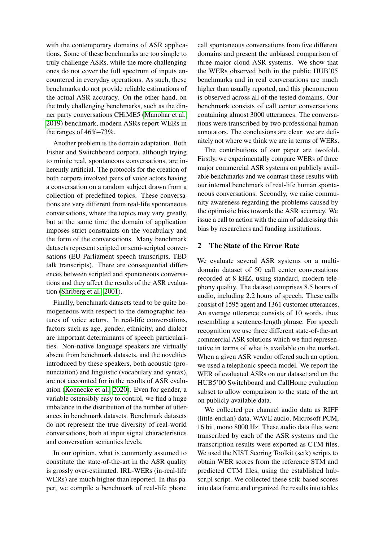with the contemporary domains of ASR applications. Some of these benchmarks are too simple to truly challenge ASRs, while the more challenging ones do not cover the full spectrum of inputs encountered in everyday operations. As such, these benchmarks do not provide reliable estimations of the actual ASR accuracy. On the other hand, on the truly challenging benchmarks, such as the dinner party conversations CHiME5 [\(Manohar et al.,](#page-4-4) [2019\)](#page-4-4) benchmark, modern ASRs report WERs in the ranges of 46%–73%.

Another problem is the domain adaptation. Both Fisher and Switchboard corpora, although trying to mimic real, spontaneous conversations, are inherently artificial. The protocols for the creation of both corpora involved pairs of voice actors having a conversation on a random subject drawn from a collection of predefined topics. These conversations are very different from real-life spontaneous conversations, where the topics may vary greatly, but at the same time the domain of application imposes strict constraints on the vocabulary and the form of the conversations. Many benchmark datasets represent scripted or semi-scripted conversations (EU Parliament speech transcripts, TED talk transcripts). There are consequential differences between scripted and spontaneous conversations and they affect the results of the ASR evaluation [\(Shriberg et al., 2001\)](#page-5-3).

Finally, benchmark datasets tend to be quite homogeneous with respect to the demographic features of voice actors. In real-life conversations, factors such as age, gender, ethnicity, and dialect are important determinants of speech particularities. Non-native language speakers are virtually absent from benchmark datasets, and the novelties introduced by these speakers, both acoustic (pronunciation) and linguistic (vocabulary and syntax), are not accounted for in the results of ASR evaluation [\(Koenecke et al., 2020\)](#page-4-5). Even for gender, a variable ostensibly easy to control, we find a huge imbalance in the distribution of the number of utterances in benchmark datasets. Benchmark datasets do not represent the true diversity of real-world conversations, both at input signal characteristics and conversation semantics levels.

In our opinion, what is commonly assumed to constitute the state-of-the-art in the ASR quality is grossly over-estimated. IRL-WERs (in-real-life WERs) are much higher than reported. In this paper, we compile a benchmark of real-life phone call spontaneous conversations from five different domains and present the unbiased comparison of three major cloud ASR systems. We show that the WERs observed both in the public HUB'05 benchmarks and in real conversations are much higher than usually reported, and this phenomenon is observed across all of the tested domains. Our benchmark consists of call center conversations containing almost 3000 utterances. The conversations were transcribed by two professional human annotators. The conclusions are clear: we are definitely not where we think we are in terms of WERs.

The contributions of our paper are twofold. Firstly, we experimentally compare WERs of three major commercial ASR systems on publicly available benchmarks and we contrast these results with our internal benchmark of real-life human spontaneous conversations. Secondly, we raise community awareness regarding the problems caused by the optimistic bias towards the ASR accuracy. We issue a call to action with the aim of addressing this bias by researchers and funding institutions.

#### <span id="page-1-0"></span>2 The State of the Error Rate

We evaluate several ASR systems on a multidomain dataset of 50 call center conversations recorded at 8 kHZ, using standard, modern telephony quality. The dataset comprises 8.5 hours of audio, including 2.2 hours of speech. These calls consist of 1595 agent and 1361 customer utterances. An average utterance consists of 10 words, thus resembling a sentence-length phrase. For speech recognition we use three different state-of-the-art commercial ASR solutions which we find representative in terms of what is available on the market. When a given ASR vendor offered such an option, we used a telephonic speech model. We report the WER of evaluated ASRs on our dataset and on the HUB5'00 Switchboard and CallHome evaluation subset to allow comparison to the state of the art on publicly available data.

We collected per channel audio data as RIFF (little-endian) data, WAVE audio, Microsoft PCM, 16 bit, mono 8000 Hz. These audio data files were transcribed by each of the ASR systems and the transcription results were exported as CTM files. We used the NIST Scoring Toolkit (sctk) scripts to obtain WER scores from the reference STM and predicted CTM files, using the established hubscr.pl script. We collected these sctk-based scores into data frame and organized the results into tables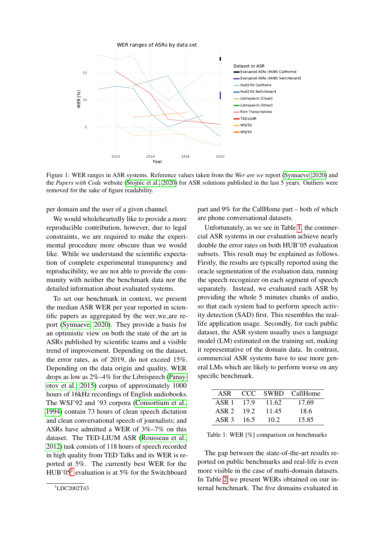

Figure 1: WER ranges in ASR systems. Reference values taken from the *Wer are we* report [\(Synnaeve, 2020\)](#page-5-0) and the *Papers with Code* website [\(Stojnic et al., 2020\)](#page-5-4) for ASR solutions published in the last 5 years. Outliers were removed for the sake of figure readability.

per domain and the user of a given channel.

We would wholeheartedly like to provide a more reproducible contribution, however, due to legal constraints, we are required to make the experimental procedure more obscure than we would like. While we understand the scientific expectation of complete experimental transparency and reproducibility, we are not able to provide the community with neither the benchmark data nor the detailed information about evaluated systems.

To set our benchmark in context, we present the median ASR WER per year reported in scientific papers as aggregated by the wer\_we\_are report [\(Synnaeve, 2020\)](#page-5-0). They provide a basis for an optimistic view on both the state of the art in ASRs published by scientific teams and a visible trend of improvement. Depending on the dataset, the error rates, as of 2019, do not exceed 15%. Depending on the data origin and quality, WER drops as low as 2%–4% for the Librispeech [\(Panay](#page-4-1)[otov et al., 2015\)](#page-4-1) corpus of approximately 1000 hours of 16kHz recordings of English audiobooks. The WSJ'92 and '93 corpora [\(Consortium et al.,](#page-4-6) [1994\)](#page-4-6) contain 73 hours of clean speech dictation and clean conversational speech of journalists; and ASRs have admitted a WER of 3%–7% on this dataset. The TED-LIUM ASR [\(Rousseau et al.,](#page-5-5) [2012\)](#page-5-5) task consists of 118 hours of speech recorded in high quality from TED Talks and its WER is reported at 5%. The currently best WER for the HUB'05<sup>[1](#page-2-0)</sup> evaluation is at 5% for the Switchboard

part and 9% for the CallHome part – both of which are phone conversational datasets.

Unfortunately, as we see in Table [1,](#page-2-1) the commercial ASR systems in our evaluation achieve nearly double the error rates on both HUB'05 evaluation subsets. This result may be explained as follows. Firstly, the results are typically reported using the oracle segmentation of the evaluation data, running the speech recognizer on each segment of speech separately. Instead, we evaluated each ASR by providing the whole 5 minutes chunks of audio, so that each system had to perform speech activity detection (SAD) first. This resembles the reallife application usage. Secondly, for each public dataset, the ASR system usually uses a language model (LM) estimated on the training set, making it representative of the domain data. In contrast, commercial ASR systems have to use more general LMs which are likely to perform worse on any specific benchmark.

<span id="page-2-1"></span>

| ASR              |      |       | CCC SWBD CallHome |
|------------------|------|-------|-------------------|
| ASR 1            | 179  | 11.62 | 17.69             |
| ASR <sub>2</sub> | 19.2 | 11.45 | 18.6              |
| ASR 3            | 16.5 | 10.2  | 15.85             |

Table 1: WER [%] comparison on benchmarks

The gap between the state-of-the-art results reported on public benchmarks and real-life is even more visible in the case of multi-domain datasets. In Table [2](#page-3-0) we present WERs obtained on our internal benchmark. The five domains evaluated in

<span id="page-2-0"></span> $1$ LDC2002T43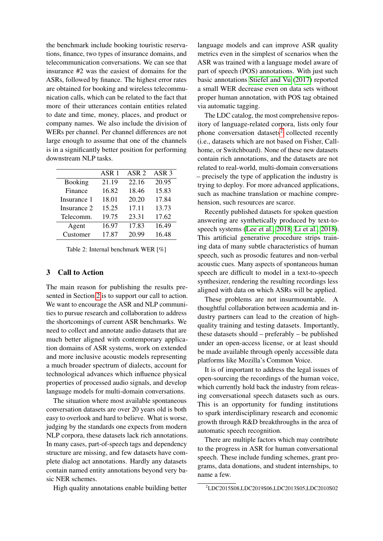the benchmark include booking touristic reservations, finance, two types of insurance domains, and telecommunication conversations. We can see that insurance #2 was the easiest of domains for the ASRs, followed by finance. The highest error rates are obtained for booking and wireless telecommunication calls, which can be related to the fact that more of their utterances contain entities related to date and time, money, places, and product or company names. We also include the division of WERs per channel. Per channel differences are not large enough to assume that one of the channels is in a significantly better position for performing downstream NLP tasks.

<span id="page-3-0"></span>

|                | ASR <sub>1</sub> | ASR <sub>2</sub> | ASR <sub>3</sub> |
|----------------|------------------|------------------|------------------|
| <b>Booking</b> | 21.19            | 22.16            | 20.95            |
| Finance        | 16.82            | 18.46            | 15.83            |
| Insurance 1    | 18.01            | 20.20            | 17.84            |
| Insurance 2    | 15.25            | 17.11            | 13.73            |
| Telecomm.      | 19.75            | 23.31            | 17.62            |
| Agent          | 16.97            | 17.83            | 16.49            |
| Customer       | 17.87            | 20.99            | 16.48            |

Table 2: Internal benchmark WER [%]

## 3 Call to Action

The main reason for publishing the results presented in Section [2](#page-1-0) is to support our call to action. We want to encourage the ASR and NLP communities to pursue research and collaboration to address the shortcomings of current ASR benchmarks. We need to collect and annotate audio datasets that are much better aligned with contemporary application domains of ASR systems, work on extended and more inclusive acoustic models representing a much broader spectrum of dialects, account for technological advances which influence physical properties of processed audio signals, and develop language models for multi-domain conversations.

The situation where most available spontaneous conversation datasets are over 20 years old is both easy to overlook and hard to believe. What is worse, judging by the standards one expects from modern NLP corpora, these datasets lack rich annotations. In many cases, part-of-speech tags and dependency structure are missing, and few datasets have complete dialog act annotations. Hardly any datasets contain named entity annotations beyond very basic NER schemes.

High quality annotations enable building better

language models and can improve ASR quality metrics even in the simplest of scenarios when the ASR was trained with a language model aware of part of speech (POS) annotations. With just such basic annotations [Stiefel and Vu](#page-5-6) [\(2017\)](#page-5-6) reported a small WER decrease even on data sets without proper human annotation, with POS tag obtained via automatic tagging.

The LDC catalog, the most comprehensive repository of language-related corpora, lists only four phone conversation datasets<sup>[2](#page-3-1)</sup> collected recently (i.e., datasets which are not based on Fisher, Callhome, or Switchboard). None of these new datasets contain rich annotations, and the datasets are not related to real-world, multi-domain conversations – precisely the type of application the industry is trying to deploy. For more advanced applications, such as machine translation or machine comprehension, such resources are scarce.

Recently published datasets for spoken question answering are synthetically produced by text-tospeech systems [\(Lee et al., 2018;](#page-4-7) [Li et al., 2018\)](#page-4-8). This artificial generative procedure strips training data of many subtle characteristics of human speech, such as prosodic features and non-verbal acoustic cues. Many aspects of spontaneous human speech are difficult to model in a text-to-speech synthesizer, rendering the resulting recordings less aligned with data on which ASRs will be applied.

These problems are not insurmountable. A thoughtful collaboration between academia and industry partners can lead to the creation of highquality training and testing datasets. Importantly, these datasets should – preferably – be published under an open-access license, or at least should be made available through openly accessible data platforms like Mozilla's Common Voice.

It is of important to address the legal issues of open-sourcing the recordings of the human voice, which currently hold back the industry from releasing conversational speech datasets such as ours. This is an opportunity for funding institutions to spark interdisciplinary research and economic growth through R&D breakthroughs in the area of automatic speech recognition.

There are multiple factors which may contribute to the progress in ASR for human conversational speech. These include funding schemes, grant programs, data donations, and student internships, to name a few.

<span id="page-3-1"></span><sup>2</sup>LDC2015S08,LDC2019S06,LDC2013S05,LDC2010S02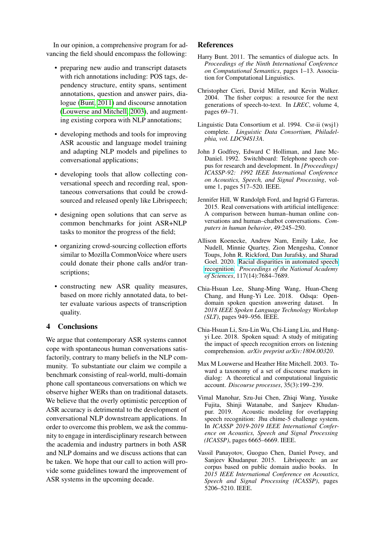In our opinion, a comprehensive program for advancing the field should encompass the following:

- preparing new audio and transcript datasets with rich annotations including: POS tags, dependency structure, entity spans, sentiment annotations, question and answer pairs, dialogue [\(Bunt, 2011\)](#page-4-9) and discourse annotation [\(Louwerse and Mitchell, 2003\)](#page-4-10), and augmenting existing corpora with NLP annotations;
- developing methods and tools for improving ASR acoustic and language model training and adapting NLP models and pipelines to conversational applications;
- developing tools that allow collecting conversational speech and recording real, spontaneous conversations that could be crowdsourced and released openly like Librispeech;
- designing open solutions that can serve as common benchmarks for joint ASR+NLP tasks to monitor the progress of the field;
- organizing crowd-sourcing collection efforts similar to Mozilla CommonVoice where users could donate their phone calls and/or transcriptions;
- constructing new ASR quality measures, based on more richly annotated data, to better evaluate various aspects of transcription quality.

#### 4 Conclusions

We argue that contemporary ASR systems cannot cope with spontaneous human conversations satisfactorily, contrary to many beliefs in the NLP community. To substantiate our claim we compile a benchmark consisting of real-world, multi-domain phone call spontaneous conversations on which we observe higher WERs than on traditional datasets. We believe that the overly optimistic perception of ASR accuracy is detrimental to the development of conversational NLP downstream applications. In order to overcome this problem, we ask the community to engage in interdisciplinary research between the academia and industry partners in both ASR and NLP domains and we discuss actions that can be taken. We hope that our call to action will provide some guidelines toward the improvement of ASR systems in the upcoming decade.

### References

- <span id="page-4-9"></span>Harry Bunt. 2011. The semantics of dialogue acts. In *Proceedings of the Ninth International Conference on Computational Semantics*, pages 1–13. Association for Computational Linguistics.
- <span id="page-4-2"></span>Christopher Cieri, David Miller, and Kevin Walker. 2004. The fisher corpus: a resource for the next generations of speech-to-text. In *LREC*, volume 4, pages 69–71.
- <span id="page-4-6"></span>Linguistic Data Consortium et al. 1994. Csr-ii (wsj1) complete. *Linguistic Data Consortium, Philadelphia, vol. LDC94S13A*.
- <span id="page-4-3"></span>John J Godfrey, Edward C Holliman, and Jane Mc-Daniel. 1992. Switchboard: Telephone speech corpus for research and development. In *[Proceedings] ICASSP-92: 1992 IEEE International Conference on Acoustics, Speech, and Signal Processing*, volume 1, pages 517–520. IEEE.
- <span id="page-4-0"></span>Jennifer Hill, W Randolph Ford, and Ingrid G Farreras. 2015. Real conversations with artificial intelligence: A comparison between human–human online conversations and human–chatbot conversations. *Computers in human behavior*, 49:245–250.
- <span id="page-4-5"></span>Allison Koenecke, Andrew Nam, Emily Lake, Joe Nudell, Minnie Quartey, Zion Mengesha, Connor Toups, John R. Rickford, Dan Jurafsky, and Sharad Goel. 2020. [Racial disparities in automated speech](https://doi.org/10.1073/pnas.1915768117) [recognition.](https://doi.org/10.1073/pnas.1915768117) *Proceedings of the National Academy of Sciences*, 117(14):7684–7689.
- <span id="page-4-7"></span>Chia-Hsuan Lee, Shang-Ming Wang, Huan-Cheng Chang, and Hung-Yi Lee. 2018. Odsqa: Opendomain spoken question answering dataset. In *2018 IEEE Spoken Language Technology Workshop (SLT)*, pages 949–956. IEEE.
- <span id="page-4-8"></span>Chia-Hsuan Li, Szu-Lin Wu, Chi-Liang Liu, and Hungyi Lee. 2018. Spoken squad: A study of mitigating the impact of speech recognition errors on listening comprehension. *arXiv preprint arXiv:1804.00320*.
- <span id="page-4-10"></span>Max M Louwerse and Heather Hite Mitchell. 2003. Toward a taxonomy of a set of discourse markers in dialog: A theoretical and computational linguistic account. *Discourse processes*, 35(3):199–239.
- <span id="page-4-4"></span>Vimal Manohar, Szu-Jui Chen, Zhiqi Wang, Yusuke Fujita, Shinji Watanabe, and Sanjeev Khudan-Acoustic modeling for overlapping speech recognition: Jhu chime-5 challenge system. In *ICASSP 2019-2019 IEEE International Conference on Acoustics, Speech and Signal Processing (ICASSP)*, pages 6665–6669. IEEE.
- <span id="page-4-1"></span>Vassil Panayotov, Guoguo Chen, Daniel Povey, and Sanjeev Khudanpur. 2015. Librispeech: an asr corpus based on public domain audio books. In *2015 IEEE International Conference on Acoustics, Speech and Signal Processing (ICASSP)*, pages 5206–5210. IEEE.